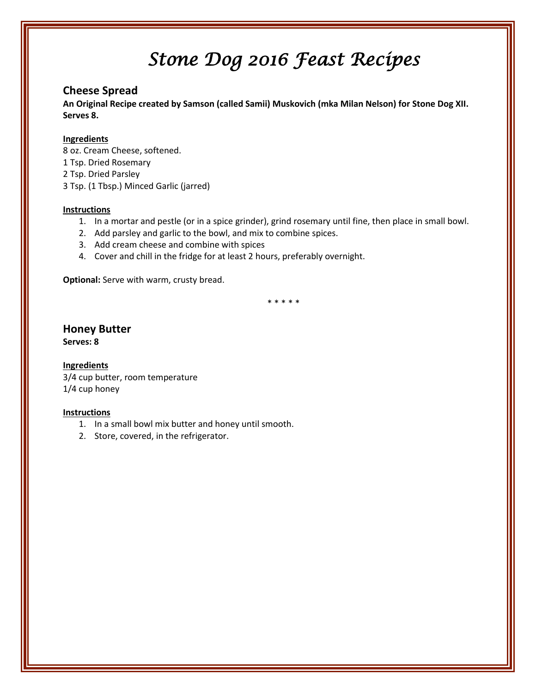### **Cheese Spread**

**An Original Recipe created by Samson (called Samii) Muskovich (mka Milan Nelson) for Stone Dog XII. Serves 8.**

#### **Ingredients**

8 oz. Cream Cheese, softened. 1 Tsp. Dried Rosemary 2 Tsp. Dried Parsley 3 Tsp. (1 Tbsp.) Minced Garlic (jarred)

#### **Instructions**

- 1. In a mortar and pestle (or in a spice grinder), grind rosemary until fine, then place in small bowl.
- 2. Add parsley and garlic to the bowl, and mix to combine spices.
- 3. Add cream cheese and combine with spices
- 4. Cover and chill in the fridge for at least 2 hours, preferably overnight.

**Optional:** Serve with warm, crusty bread.

\* \* \* \* \*

# **Honey Butter**

**Serves: 8**

#### **Ingredients**

3/4 cup butter, room temperature 1/4 cup honey

- 1. In a small bowl mix butter and honey until smooth.
- 2. Store, covered, in the refrigerator.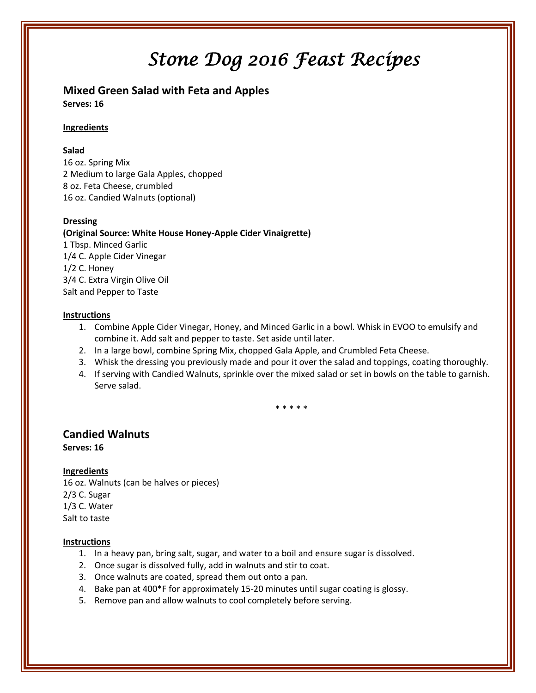**Mixed Green Salad with Feta and Apples Serves: 16**

#### **Ingredients**

#### **Salad**

16 oz. Spring Mix 2 Medium to large Gala Apples, chopped 8 oz. Feta Cheese, crumbled 16 oz. Candied Walnuts (optional)

#### **Dressing**

**(Original Source: White House Honey-Apple Cider Vinaigrette)** 1 Tbsp. Minced Garlic 1/4 C. Apple Cider Vinegar 1/2 C. Honey 3/4 C. Extra Virgin Olive Oil Salt and Pepper to Taste

#### **Instructions**

- 1. Combine Apple Cider Vinegar, Honey, and Minced Garlic in a bowl. Whisk in EVOO to emulsify and combine it. Add salt and pepper to taste. Set aside until later.
- 2. In a large bowl, combine Spring Mix, chopped Gala Apple, and Crumbled Feta Cheese.
- 3. Whisk the dressing you previously made and pour it over the salad and toppings, coating thoroughly.
- 4. If serving with Candied Walnuts, sprinkle over the mixed salad or set in bowls on the table to garnish. Serve salad.

\* \* \* \* \*

### **Candied Walnuts**

**Serves: 16**

## **Ingredients**

16 oz. Walnuts (can be halves or pieces) 2/3 C. Sugar 1/3 C. Water Salt to taste

- 1. In a heavy pan, bring salt, sugar, and water to a boil and ensure sugar is dissolved.
- 2. Once sugar is dissolved fully, add in walnuts and stir to coat.
- 3. Once walnuts are coated, spread them out onto a pan.
- 4. Bake pan at 400\*F for approximately 15-20 minutes until sugar coating is glossy.
- 5. Remove pan and allow walnuts to cool completely before serving.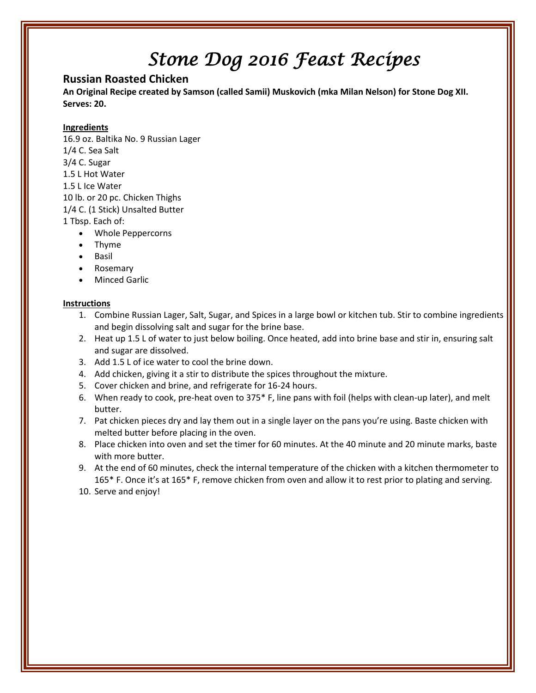### **Russian Roasted Chicken**

**An Original Recipe created by Samson (called Samii) Muskovich (mka Milan Nelson) for Stone Dog XII. Serves: 20.**

#### **Ingredients**

16.9 oz. Baltika No. 9 Russian Lager 1/4 C. Sea Salt 3/4 C. Sugar 1.5 L Hot Water 1.5 L Ice Water 10 lb. or 20 pc. Chicken Thighs 1/4 C. (1 Stick) Unsalted Butter 1 Tbsp. Each of:

- Whole Peppercorns
- Thyme
- Basil
- Rosemary
- Minced Garlic

- 1. Combine Russian Lager, Salt, Sugar, and Spices in a large bowl or kitchen tub. Stir to combine ingredients and begin dissolving salt and sugar for the brine base.
- 2. Heat up 1.5 L of water to just below boiling. Once heated, add into brine base and stir in, ensuring salt and sugar are dissolved.
- 3. Add 1.5 L of ice water to cool the brine down.
- 4. Add chicken, giving it a stir to distribute the spices throughout the mixture.
- 5. Cover chicken and brine, and refrigerate for 16-24 hours.
- 6. When ready to cook, pre-heat oven to 375\* F, line pans with foil (helps with clean-up later), and melt butter.
- 7. Pat chicken pieces dry and lay them out in a single layer on the pans you're using. Baste chicken with melted butter before placing in the oven.
- 8. Place chicken into oven and set the timer for 60 minutes. At the 40 minute and 20 minute marks, baste with more butter.
- 9. At the end of 60 minutes, check the internal temperature of the chicken with a kitchen thermometer to 165\* F. Once it's at 165\* F, remove chicken from oven and allow it to rest prior to plating and serving.
- 10. Serve and enjoy!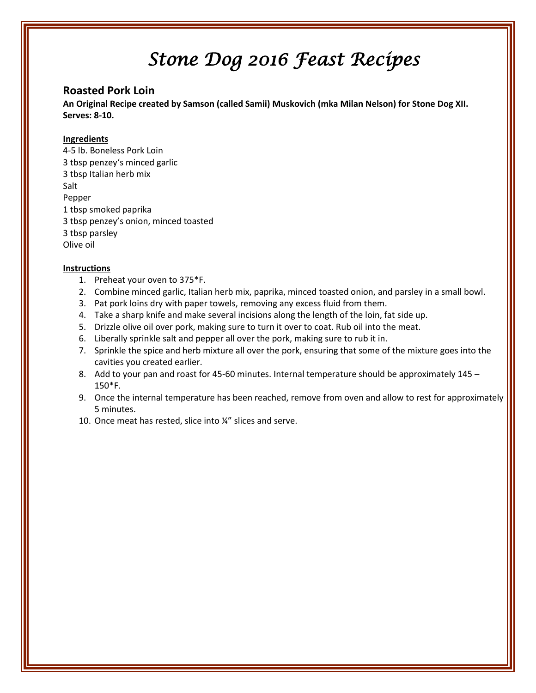### **Roasted Pork Loin**

**An Original Recipe created by Samson (called Samii) Muskovich (mka Milan Nelson) for Stone Dog XII. Serves: 8-10.**

#### **Ingredients**

4-5 lb. Boneless Pork Loin 3 tbsp penzey's minced garlic 3 tbsp Italian herb mix Salt Pepper 1 tbsp smoked paprika 3 tbsp penzey's onion, minced toasted 3 tbsp parsley Olive oil

- 1. Preheat your oven to 375\*F.
- 2. Combine minced garlic, Italian herb mix, paprika, minced toasted onion, and parsley in a small bowl.
- 3. Pat pork loins dry with paper towels, removing any excess fluid from them.
- 4. Take a sharp knife and make several incisions along the length of the loin, fat side up.
- 5. Drizzle olive oil over pork, making sure to turn it over to coat. Rub oil into the meat.
- 6. Liberally sprinkle salt and pepper all over the pork, making sure to rub it in.
- 7. Sprinkle the spice and herb mixture all over the pork, ensuring that some of the mixture goes into the cavities you created earlier.
- 8. Add to your pan and roast for 45-60 minutes. Internal temperature should be approximately 145 150\*F.
- 9. Once the internal temperature has been reached, remove from oven and allow to rest for approximately 5 minutes.
- 10. Once meat has rested, slice into ¼" slices and serve.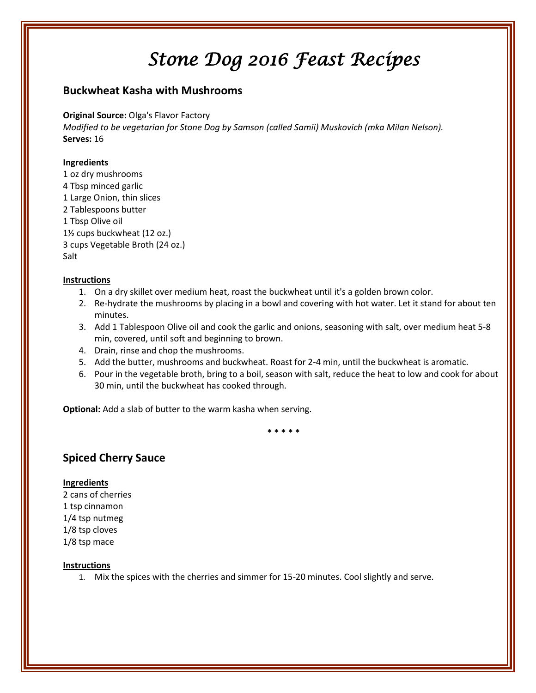### **Buckwheat Kasha with Mushrooms**

**Original Source:** Olga's Flavor Factory

*Modified to be vegetarian for Stone Dog by Samson (called Samii) Muskovich (mka Milan Nelson).* **Serves:** 16

#### **Ingredients**

1 oz dry mushrooms 4 Tbsp minced garlic 1 Large Onion, thin slices 2 Tablespoons butter 1 Tbsp Olive oil 1½ cups buckwheat (12 oz.) 3 cups Vegetable Broth (24 oz.) Salt

#### **Instructions**

- 1. On a dry skillet over medium heat, roast the buckwheat until it's a golden brown color.
- 2. Re-hydrate the mushrooms by placing in a bowl and covering with hot water. Let it stand for about ten minutes.
- 3. Add 1 Tablespoon Olive oil and cook the garlic and onions, seasoning with salt, over medium heat 5-8 min, covered, until soft and beginning to brown.
- 4. Drain, rinse and chop the mushrooms.
- 5. Add the butter, mushrooms and buckwheat. Roast for 2-4 min, until the buckwheat is aromatic.
- 6. Pour in the vegetable broth, bring to a boil, season with salt, reduce the heat to low and cook for about 30 min, until the buckwheat has cooked through.

**Optional:** Add a slab of butter to the warm kasha when serving.

**\* \* \* \* \***

### **Spiced Cherry Sauce**

#### **Ingredients**

2 cans of cherries 1 tsp cinnamon 1/4 tsp nutmeg 1/8 tsp cloves 1/8 tsp mace

#### **Instructions**

1. Mix the spices with the cherries and simmer for 15-20 minutes. Cool slightly and serve.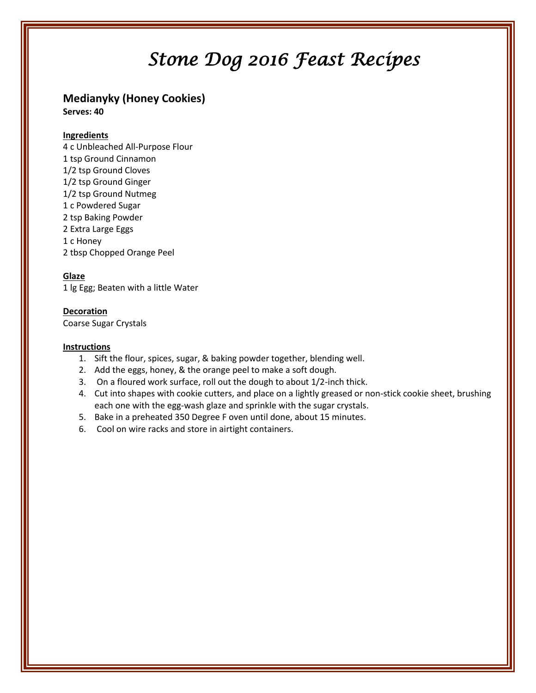## **Medianyky (Honey Cookies)**

**Serves: 40**

#### **Ingredients**

4 c Unbleached All-Purpose Flour 1 tsp Ground Cinnamon 1/2 tsp Ground Cloves 1/2 tsp Ground Ginger 1/2 tsp Ground Nutmeg 1 c Powdered Sugar 2 tsp Baking Powder 2 Extra Large Eggs 1 c Honey 2 tbsp Chopped Orange Peel

#### **Glaze**

1 lg Egg; Beaten with a little Water

#### **Decoration**

Coarse Sugar Crystals

- 1. Sift the flour, spices, sugar, & baking powder together, blending well.
- 2. Add the eggs, honey, & the orange peel to make a soft dough.
- 3. On a floured work surface, roll out the dough to about 1/2-inch thick.
- 4. Cut into shapes with cookie cutters, and place on a lightly greased or non-stick cookie sheet, brushing each one with the egg-wash glaze and sprinkle with the sugar crystals.
- 5. Bake in a preheated 350 Degree F oven until done, about 15 minutes.
- 6. Cool on wire racks and store in airtight containers.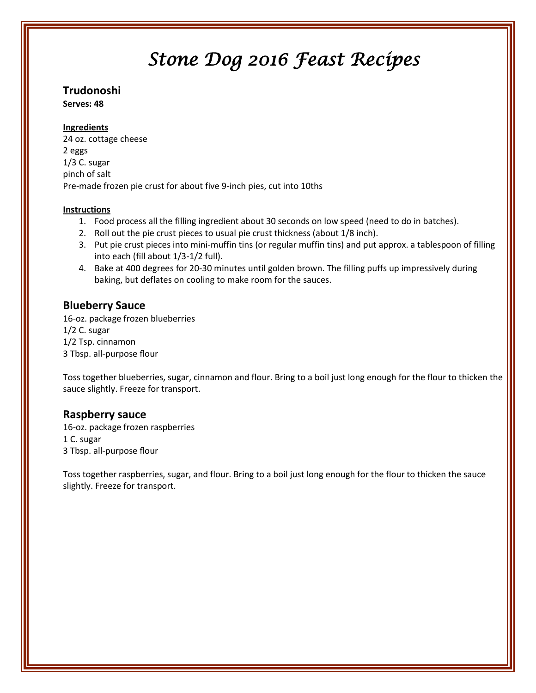## **Trudonoshi**

**Serves: 48**

#### **Ingredients**

24 oz. cottage cheese 2 eggs 1/3 C. sugar pinch of salt Pre-made frozen pie crust for about five 9-inch pies, cut into 10ths

#### **Instructions**

- 1. Food process all the filling ingredient about 30 seconds on low speed (need to do in batches).
- 2. Roll out the pie crust pieces to usual pie crust thickness (about 1/8 inch).
- 3. Put pie crust pieces into mini-muffin tins (or regular muffin tins) and put approx. a tablespoon of filling into each (fill about 1/3-1/2 full).
- 4. Bake at 400 degrees for 20-30 minutes until golden brown. The filling puffs up impressively during baking, but deflates on cooling to make room for the sauces.

## **Blueberry Sauce**

16-oz. package frozen blueberries 1/2 C. sugar 1/2 Tsp. cinnamon 3 Tbsp. all-purpose flour

Toss together blueberries, sugar, cinnamon and flour. Bring to a boil just long enough for the flour to thicken the sauce slightly. Freeze for transport.

### **Raspberry sauce**

16-oz. package frozen raspberries 1 C. sugar 3 Tbsp. all-purpose flour

Toss together raspberries, sugar, and flour. Bring to a boil just long enough for the flour to thicken the sauce slightly. Freeze for transport.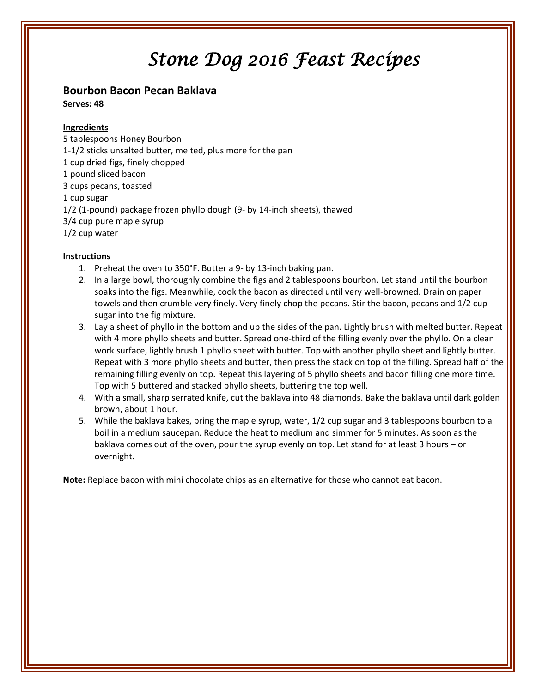### **Bourbon Bacon Pecan Baklava**

**Serves: 48**

#### **Ingredients**

5 tablespoons Honey Bourbon 1-1/2 sticks unsalted butter, melted, plus more for the pan 1 cup dried figs, finely chopped 1 pound sliced bacon 3 cups pecans, toasted 1 cup sugar 1/2 (1-pound) package frozen phyllo dough (9- by 14-inch sheets), thawed 3/4 cup pure maple syrup 1/2 cup water

#### **Instructions**

- 1. Preheat the oven to 350°F. Butter a 9- by 13-inch baking pan.
- 2. In a large bowl, thoroughly combine the figs and 2 tablespoons bourbon. Let stand until the bourbon soaks into the figs. Meanwhile, cook the bacon as directed until very well-browned. Drain on paper towels and then crumble very finely. Very finely chop the pecans. Stir the bacon, pecans and 1/2 cup sugar into the fig mixture.
- 3. Lay a sheet of phyllo in the bottom and up the sides of the pan. Lightly brush with melted butter. Repeat with 4 more phyllo sheets and butter. Spread one-third of the filling evenly over the phyllo. On a clean work surface, lightly brush 1 phyllo sheet with butter. Top with another phyllo sheet and lightly butter. Repeat with 3 more phyllo sheets and butter, then press the stack on top of the filling. Spread half of the remaining filling evenly on top. Repeat this layering of 5 phyllo sheets and bacon filling one more time. Top with 5 buttered and stacked phyllo sheets, buttering the top well.
- 4. With a small, sharp serrated knife, cut the baklava into 48 diamonds. Bake the baklava until dark golden brown, about 1 hour.
- 5. While the baklava bakes, bring the maple syrup, water, 1/2 cup sugar and 3 tablespoons bourbon to a boil in a medium saucepan. Reduce the heat to medium and simmer for 5 minutes. As soon as the baklava comes out of the oven, pour the syrup evenly on top. Let stand for at least 3 hours – or overnight.

**Note:** Replace bacon with mini chocolate chips as an alternative for those who cannot eat bacon.